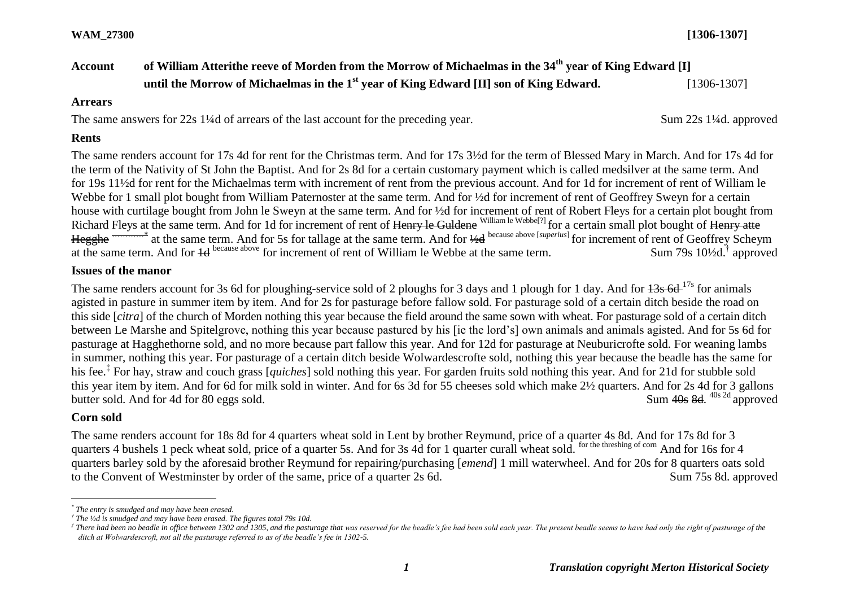# **Account of William Atterithe reeve of Morden from the Morrow of Michaelmas in the 34th year of King Edward [I] until the Morrow of Michaelmas in the 1<sup>st</sup> year of King Edward [II] son of King Edward.** [1306-1307]

#### **Arrears**

The same answers for 22s 1¼d of arrears of the last account for the preceding year. Sum 22s 1¼d. approved

#### **Rents**

The same renders account for 17s 4d for rent for the Christmas term. And for 17s 3½d for the term of Blessed Mary in March. And for 17s 4d for the term of the Nativity of St John the Baptist. And for 2s 8d for a certain customary payment which is called medsilver at the same term. And for 19s 11½d for rent for the Michaelmas term with increment of rent from the previous account. And for 1d for increment of rent of William le Webbe for 1 small plot bought from William Paternoster at the same term. And for  $\frac{1}{2}d$  for increment of rent of Geoffrey Sweyn for a certain house with curtilage bought from John le Sweyn at the same term. And for <sup>1</sup>/<sub>2</sub>d for increment of rent of Robert Fleys for a certain plot bought from Richard Fleys at the same term. And for 1d for increment of rent of <del>Henry le Guldene</del> William le Webbe<sup>[?]</sup> for a certain small plot bought of <del>Henry atte</del> Hegghe <sup>——————</sup> at the same term. And for 5s for tallage at the same term. And for  $\frac{1}{2}d$  because above [*superius*] for increment of rent of Geoffrey Scheym at the same term. And for  $\frac{1}{4}$  because above for increment of rent of William le Webbe at the same term. Sum 79s  $10\frac{1}{2}d$ , approved

## **Issues of the manor**

The same renders account for 3s 6d for ploughing-service sold of 2 ploughs for 3 days and 1 plough for 1 day. And for  $\frac{13s}{17s}$  for animals agisted in pasture in summer item by item. And for 2s for pasturage before fallow sold. For pasturage sold of a certain ditch beside the road on this side [*citra*] of the church of Morden nothing this year because the field around the same sown with wheat. For pasturage sold of a certain ditch between Le Marshe and Spitelgrove, nothing this year because pastured by his [ie the lord's] own animals and animals agisted. And for 5s 6d for pasturage at Hagghethorne sold, and no more because part fallow this year. And for 12d for pasturage at Neuburicrofte sold. For weaning lambs in summer, nothing this year. For pasturage of a certain ditch beside Wolwardescrofte sold, nothing this year because the beadle has the same for his fee.‡ For hay, straw and couch grass [*quiches*] sold nothing this year. For garden fruits sold nothing this year. And for 21d for stubble sold this year item by item. And for 6d for milk sold in winter. And for 6s 3d for 55 cheeses sold which make 2½ quarters. And for 2s 4d for 3 gallons butter sold. And for 4d for 80 eggs sold. Sum  $40s$  8d.  $40s$  2d approved

### **Corn sold**

 $\overline{a}$ 

The same renders account for 18s 8d for 4 quarters wheat sold in Lent by brother Reymund, price of a quarter 4s 8d. And for 17s 8d for 3 quarters 4 bushels 1 peck wheat sold, price of a quarter 5s. And for 3s 4d for 1 quarter curall wheat sold. <sup>for the threshing of corn</sup> And for 16s for 4 quarters barley sold by the aforesaid brother Reymund for repairing/purchasing [*emend*] 1 mill waterwheel. And for 20s for 8 quarters oats sold to the Convent of Westminster by order of the same, price of a quarter 2s 6d. Sum 75s 8d. approved

*<sup>\*</sup> The entry is smudged and may have been erased.*

*<sup>†</sup> The ½d is smudged and may have been erased. The figures total 79s 10d.*

 $^t$  There had been no beadle in office between 1302 and 1305, and the pasturage that was reserved for the beadle's fee had been sold each year. The present beadle seems to have had only the right of pasturage of the *ditch at Wolwardescroft, not all the pasturage referred to as of the beadle's fee in 1302-5.*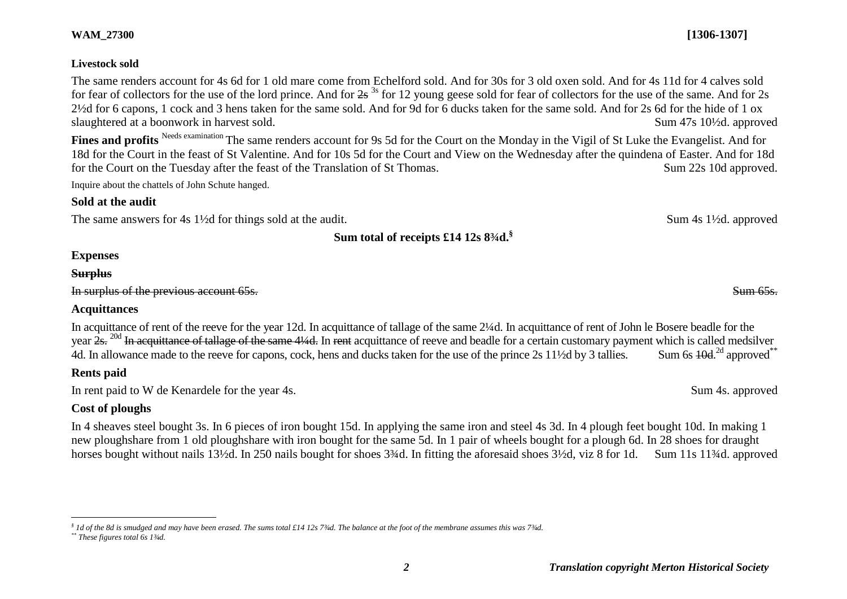#### **Livestock sold**

The same renders account for 4s 6d for 1 old mare come from Echelford sold. And for 30s for 3 old oxen sold. And for 4s 11d for 4 calves sold for fear of collectors for the use of the lord prince. And for  $2s^{3s}$  for 12 young geese sold for fear of collectors for the use of the same. And for 2s 2½d for 6 capons, 1 cock and 3 hens taken for the same sold. And for 9d for 6 ducks taken for the same sold. And for 2s 6d for the hide of 1 ox slaughtered at a boonwork in harvest sold. Sum 47s 10<sup>1</sup>/<sub>2d</sub>. approved

Fines and profits <sup>Needs examination</sup> The same renders account for 9s 5d for the Court on the Monday in the Vigil of St Luke the Evangelist. And for 18d for the Court in the feast of St Valentine. And for 10s 5d for the Court and View on the Wednesday after the quindena of Easter. And for 18d for the Court on the Tuesday after the feast of the Translation of St Thomas. Sum 22s 10d approved.

Inquire about the chattels of John Schute hanged.

### **Sold at the audit**

The same answers for 4s 1<sup>1</sup>/<sub>2</sub>d for things sold at the audit. Sum 4s 1<sup>1</sup>/<sub>2d</sub>. approved

**Sum total of receipts £14 12s 8¾d.§**

## **Expenses**

### **Surplus**

In surplus of the previous account 65s. Sum 65s.

## **Acquittances**

In acquittance of rent of the reeve for the year 12d. In acquittance of tallage of the same 2¼d. In acquittance of rent of John le Bosere beadle for the year  $2s$ . <sup>20d</sup> In acquittance of tallage of the same 4¼d. In rent acquittance of reeve and beadle for a certain customary payment which is called medsilver 4d. In allowance made to the reeve for capons, cock, hens and ducks taken for the use of the prince 2s 11<sup>1</sup>/<sub>2</sub>d by 3 tallies. Sum 6s  $40d^{2d}$  approved<sup>\*\*</sup>

## **Rents paid**

In rent paid to W de Kenardele for the year 4s. Sum 4s. approved

## **Cost of ploughs**

In 4 sheaves steel bought 3s. In 6 pieces of iron bought 15d. In applying the same iron and steel 4s 3d. In 4 plough feet bought 10d. In making 1 new ploughshare from 1 old ploughshare with iron bought for the same 5d. In 1 pair of wheels bought for a plough 6d. In 28 shoes for draught horses bought without nails 13½d. In 250 nails bought for shoes 3¾d. In fitting the aforesaid shoes 3½d, viz 8 for 1d. Sum 11s 11¾d. approved

*§ 1d of the 8d is smudged and may have been erased. The sums total £14 12s 7¾d. The balance at the foot of the membrane assumes this was 7¾d.*

*\*\* These figures total 6s 1¾d.*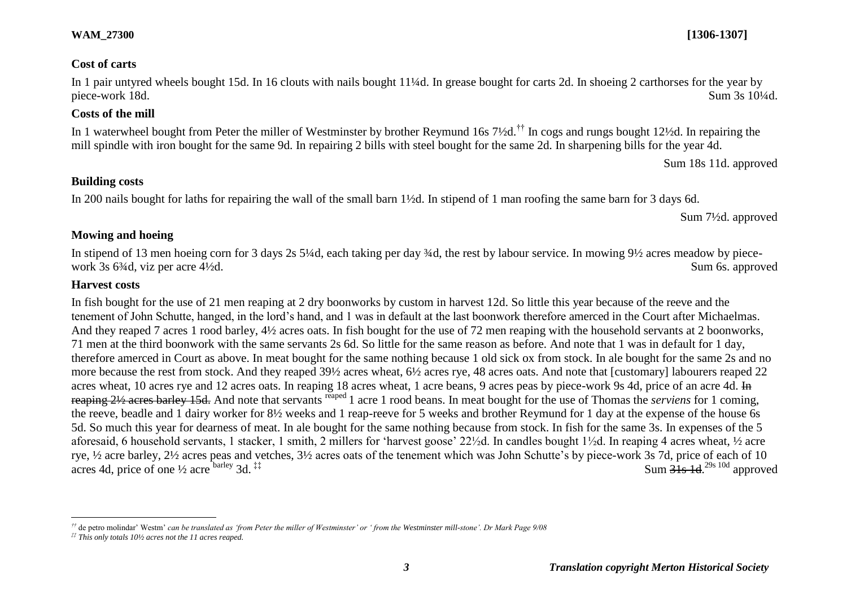#### *3 Translation copyright Merton Historical Society*

## **Cost of carts**

In 1 pair untyred wheels bought 15d. In 16 clouts with nails bought 11¼d. In grease bought for carts 2d. In shoeing 2 carthorses for the year by piece-work 18d. Sum 3s 10<sup>1</sup>/4d.

## **Costs of the mill**

In 1 waterwheel bought from Peter the miller of Westminster by brother Reymund 16s 7½d.<sup>††</sup> In cogs and rungs bought 12½d. In repairing the mill spindle with iron bought for the same 9d. In repairing 2 bills with steel bought for the same 2d. In sharpening bills for the year 4d.

Sum 18s 11d. approved

## **Building costs**

In 200 nails bought for laths for repairing the wall of the small barn 1½d. In stipend of 1 man roofing the same barn for 3 days 6d.

Sum 7½d. approved

## **Mowing and hoeing**

In stipend of 13 men hoeing corn for 3 days 2s 5¼d, each taking per day ¼d, the rest by labour service. In mowing 9½ acres meadow by piecework 3s 6<sup>3</sup>/d, viz per acre 4<sup>1</sup>/2d. Sum 6s. approved

## **Harvest costs**

 $\overline{a}$ 

In fish bought for the use of 21 men reaping at 2 dry boonworks by custom in harvest 12d. So little this year because of the reeve and the tenement of John Schutte, hanged, in the lord's hand, and 1 was in default at the last boonwork therefore amerced in the Court after Michaelmas. And they reaped 7 acres 1 rood barley, 4½ acres oats. In fish bought for the use of 72 men reaping with the household servants at 2 boonworks, 71 men at the third boonwork with the same servants 2s 6d. So little for the same reason as before. And note that 1 was in default for 1 day, therefore amerced in Court as above. In meat bought for the same nothing because 1 old sick ox from stock. In ale bought for the same 2s and no more because the rest from stock. And they reaped 39½ acres wheat, 6½ acres rye, 48 acres oats. And note that [customary] labourers reaped 22 acres wheat, 10 acres rye and 12 acres oats. In reaping 18 acres wheat, 1 acre beans, 9 acres peas by piece-work 9s 4d, price of an acre 4d. In reaping 2½ acres barley 15d. And note that servants reaped 1 acre 1 rood beans. In meat bought for the use of Thomas the *serviens* for 1 coming, the reeve, beadle and 1 dairy worker for 8½ weeks and 1 reap-reeve for 5 weeks and brother Reymund for 1 day at the expense of the house 6s 5d. So much this year for dearness of meat. In ale bought for the same nothing because from stock. In fish for the same 3s. In expenses of the 5 aforesaid, 6 household servants, 1 stacker, 1 smith, 2 millers for 'harvest goose' 22½d. In candles bought 1½d. In reaping 4 acres wheat, ½ acre rye, ½ acre barley, 2½ acres peas and vetches, 3½ acres oats of the tenement which was John Schutte's by piece-work 3s 7d, price of each of 10 acres 4d, price of one  $\frac{1}{2}$  acre barley 3d.<sup>\\pit 1}</sup>  $Sum \overline{31s}$  1d  $^{29s}$  10d approved

*<sup>††</sup>* de petro molindar' Westm' *can be translated as 'from Peter the miller of Westminster' or ' from the Westminster mill-stone'. Dr Mark Page 9/08*

*<sup>‡‡</sup> This only totals 10½ acres not the 11 acres reaped.*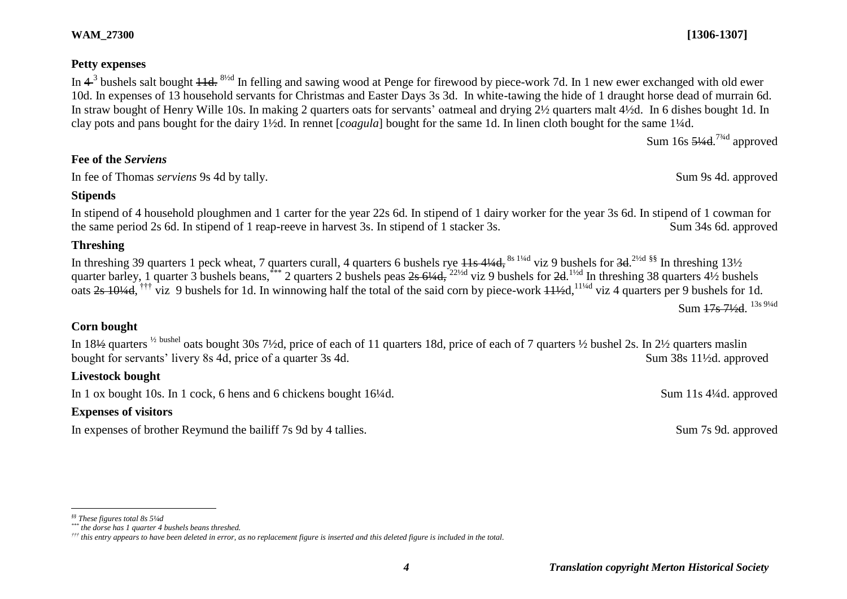### **Petty expenses**

In  $4^3$  bushels salt bought  $11d$ . <sup>8½d</sup> In felling and sawing wood at Penge for firewood by piece-work 7d. In 1 new ewer exchanged with old ewer 10d. In expenses of 13 household servants for Christmas and Easter Days 3s 3d. In white-tawing the hide of 1 draught horse dead of murrain 6d. In straw bought of Henry Wille 10s. In making 2 quarters oats for servants' oatmeal and drying 2½ quarters malt 4½d. In 6 dishes bought 1d. In clay pots and pans bought for the dairy 1½d. In rennet [*coagula*] bought for the same 1d. In linen cloth bought for the same 1¼d.

Sum 16s <del>5¼d</del>.<sup>7¾d</sup> approved

## **Fee of the** *Serviens*

In fee of Thomas *serviens* 9s 4d by tally. Sum 9s 4d. approved

#### **Stipends**

In stipend of 4 household ploughmen and 1 carter for the year 22s 6d. In stipend of 1 dairy worker for the year 3s 6d. In stipend of 1 cowman for the same period 2s 6d. In stipend of 1 reap-reeve in harvest 3s. In stipend of 1 stacker 3s. Sum 34s 6d. approved

### **Threshing**

In threshing 39 quarters 1 peck wheat, 7 quarters curall, 4 quarters 6 bushels rye <del>11s 4¼d, <sup>8s 1¼d</sup></del> viz 9 bushels for <del>3d. <sup>2½d §§</sup> In threshing 13½</del> quarter barley, 1 quarter 3 bushels beans,  $***$  2 quarters 2 bushels peas  $2s$  6¼d,  $22\frac{1}{2}$  viz 9 bushels for  $2d$ .  $1\frac{1}{2}d$  In threshing 38 quarters 4½ bushels oats  $2s$  10¼d, <sup>†††</sup> viz 9 bushels for 1d. In winnowing half the total of the said corn by piece-work  $11\frac{1}{4}$ d,<sup>11¼d</sup> viz 4 quarters per 9 bushels for 1d.

Sum <del>17s 7½d</del>. <sup>13s 9¼d</sup>

## **Corn bought**

In 18½ quarters <sup>½</sup> bushel oats bought 30s 7½d, price of each of 11 quarters 18d, price of each of 7 quarters ½ bushel 2s. In 2½ quarters maslin bought for servants' livery 8s 4d, price of a quarter 3s 4d. Sum 38s 11<sup>1</sup>/<sub>2d</sub>. approved

### **Livestock bought**

In 1 ox bought 10s. In 1 cock, 6 hens and 6 chickens bought 16¼d. Sum 11s 4¼d. approved

### **Expenses of visitors**

In expenses of brother Reymund the bailiff 7s 9d by 4 tallies. Sum 7s 9d. approved

*§§ These figures total 8s 5¼d*

*<sup>\*\*\*</sup> the dorse has 1 quarter 4 bushels beans threshed.*

*<sup>†††</sup> this entry appears to have been deleted in error, as no replacement figure is inserted and this deleted figure is included in the total.*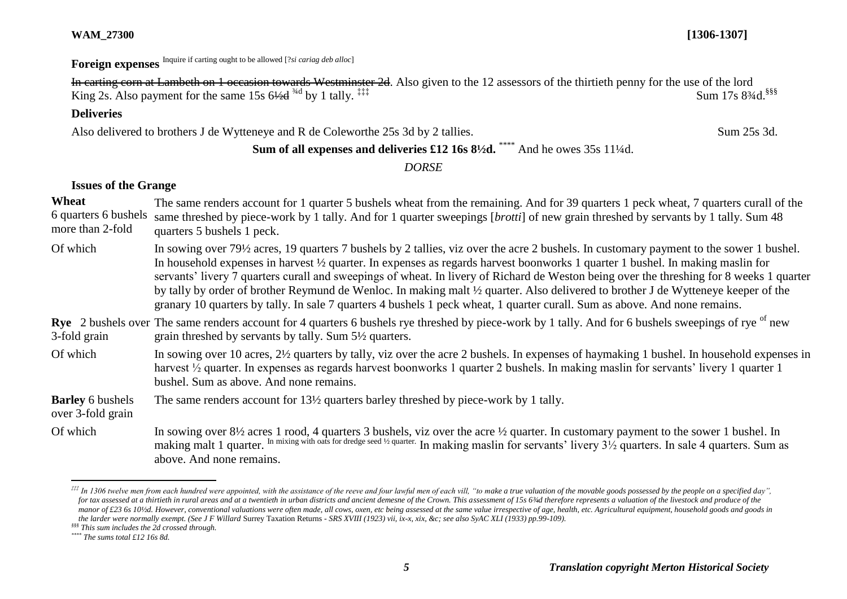Foreign expenses Inquire if carting ought to be allowed [?*si cariag deb alloc*]

In carting corn at Lambeth on 1 occasion towards Westminster 2d. Also given to the 12 assessors of the thirtieth penny for the use of the lord King 2s. Also payment for the same  $15s$  6 $\frac{4}{4}$  by 1 tally.  $\ddagger$   $\ddagger$ 

## **Deliveries**

Also delivered to brothers J de Wytteneye and R de Coleworthe 25s 3d by 2 tallies. Sum 25s 3d.

# Sum of all expenses and deliveries £12 16s 8<sup>1</sup>/<sub>2</sub>d. \*\*\*\* And he owes 35s 11<sup>1</sup>/<sub>4</sub>d.

*DORSE*

### **Issues of the Grange**

- **Wheat** 6 quarters 6 bushels same threshed by piece-work by 1 tally. And for 1 quarter sweepings [*brotti*] of new grain threshed by servants by 1 tally. Sum 48 more than 2-fold The same renders account for 1 quarter 5 bushels wheat from the remaining. And for 39 quarters 1 peck wheat, 7 quarters curall of the quarters 5 bushels 1 peck.
- Of which In sowing over 79½ acres, 19 quarters 7 bushels by 2 tallies, viz over the acre 2 bushels. In customary payment to the sower 1 bushel. In household expenses in harvest ½ quarter. In expenses as regards harvest boonworks 1 quarter 1 bushel. In making maslin for servants' livery 7 quarters curall and sweepings of wheat. In livery of Richard de Weston being over the threshing for 8 weeks 1 quarter by tally by order of brother Reymund de Wenloc. In making malt ½ quarter. Also delivered to brother J de Wytteneye keeper of the granary 10 quarters by tally. In sale 7 quarters 4 bushels 1 peck wheat, 1 quarter curall. Sum as above. And none remains.
- Rye 2 bushels over The same renders account for 4 quarters 6 bushels rye threshed by piece-work by 1 tally. And for 6 bushels sweepings of rye <sup>of</sup> new 3-fold grain grain threshed by servants by tally. Sum 5½ quarters.
- Of which In sowing over 10 acres,  $2\frac{1}{2}$  quarters by tally, viz over the acre 2 bushels. In expenses of haymaking 1 bushel. In household expenses in harvest <sup>1/2</sup> quarter. In expenses as regards harvest boonworks 1 quarter 2 bushels. In making maslin for servants' livery 1 quarter 1 bushel. Sum as above. And none remains.

**Barley** 6 bushels The same renders account for 13½ quarters barley threshed by piece-work by 1 tally.

- over 3-fold grain
- Of which In sowing over  $8\frac{1}{2}$  acres 1 rood, 4 quarters 3 bushels, viz over the acre  $\frac{1}{2}$  quarter. In customary payment to the sower 1 bushel. In making malt 1 quarter. <sup>In mixing with oats for dredge seed 1/2 quarter.</sup> In making maslin for servants' livery  $3\frac{1}{2}$  quarters. In sale 4 quarters. Sum as above. And none remains.

 $\overline{a}$ <sup>\*\*\*</sup> In 1306 twelve men from each hundred were appointed, with the assistance of the reeve and four lawful men of each vill. "to make a true valuation of the movable goods possessed by the people on a specified day". for tax assessed at a thirtieth in rural areas and at a twentieth in urban districts and ancient demesne of the Crown. This assessment of 15s 6¾d therefore represents a valuation of the livestock and produce of the manor of £23 6s 10<sup>*/zd.* However, conventional valuations were often made, all cows, oxen, etc being assessed at the same value irrespective of age, health, etc. Agricultural equipment, household goods and goods in</sup> *the larder were normally exempt. (See J F Willard* Surrey Taxation Returns *- SRS XVIII (1923) vii, ix-x, xix, &c; see also SyAC XLI (1933) pp.99-109).*

*<sup>§§§</sup> This sum includes the 2d crossed through.*

*<sup>\*\*\*\*</sup> The sums total £12 16s 8d.*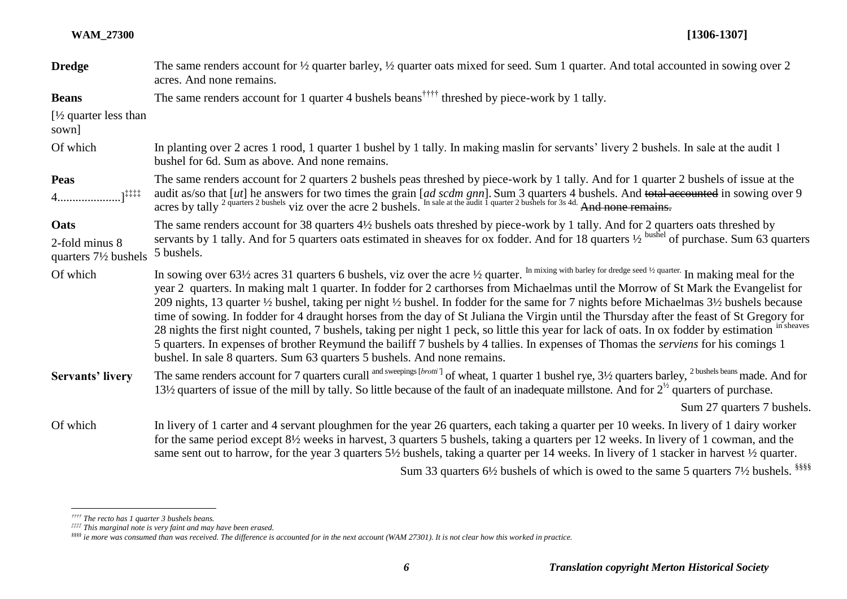| <b>Dredge</b>                                     | The same renders account for $\frac{1}{2}$ quarter barley, $\frac{1}{2}$ quarter oats mixed for seed. Sum 1 quarter. And total accounted in sowing over 2<br>acres. And none remains.                                                                                                                                                                                                                                                                                                                                                                                                                                                                                                                                                                                                                                                                                                                                                                                |
|---------------------------------------------------|----------------------------------------------------------------------------------------------------------------------------------------------------------------------------------------------------------------------------------------------------------------------------------------------------------------------------------------------------------------------------------------------------------------------------------------------------------------------------------------------------------------------------------------------------------------------------------------------------------------------------------------------------------------------------------------------------------------------------------------------------------------------------------------------------------------------------------------------------------------------------------------------------------------------------------------------------------------------|
| <b>Beans</b>                                      | The same renders account for 1 quarter 4 bushels beans <sup>††††</sup> threshed by piece-work by 1 tally.                                                                                                                                                                                                                                                                                                                                                                                                                                                                                                                                                                                                                                                                                                                                                                                                                                                            |
| [ $\frac{1}{2}$ quarter less than<br>sown]        |                                                                                                                                                                                                                                                                                                                                                                                                                                                                                                                                                                                                                                                                                                                                                                                                                                                                                                                                                                      |
| Of which                                          | In planting over 2 acres 1 rood, 1 quarter 1 bushel by 1 tally. In making maslin for servants' livery 2 bushels. In sale at the audit 1<br>bushel for 6d. Sum as above. And none remains.                                                                                                                                                                                                                                                                                                                                                                                                                                                                                                                                                                                                                                                                                                                                                                            |
| Peas<br>$4$ ] <sup>!!!!!</sup>                    | The same renders account for 2 quarters 2 bushels peas threshed by piece-work by 1 tally. And for 1 quarter 2 bushels of issue at the<br>audit as/so that [ut] he answers for two times the grain [ad scdm gnn]. Sum 3 quarters 4 bushels. And total accounted in sowing over 9 acres by tally $^{2}$ quarters 2 bushels viz over the acre 2 bushels. In sale at the au                                                                                                                                                                                                                                                                                                                                                                                                                                                                                                                                                                                              |
| Oats                                              | The same renders account for 38 quarters 4½ bushels oats threshed by piece-work by 1 tally. And for 2 quarters oats threshed by                                                                                                                                                                                                                                                                                                                                                                                                                                                                                                                                                                                                                                                                                                                                                                                                                                      |
| 2-fold minus 8<br>quarters $7\frac{1}{2}$ bushels | servants by 1 tally. And for 5 quarters oats estimated in sheaves for ox fodder. And for 18 quarters $\frac{1}{2}$ bushel of purchase. Sum 63 quarters<br>5 bushels.                                                                                                                                                                                                                                                                                                                                                                                                                                                                                                                                                                                                                                                                                                                                                                                                 |
| Of which                                          | In sowing over 63½ acres 31 quarters 6 bushels, viz over the acre 1/2 quarter. In mixing with barley for dredge seed 1/2 quarter. In making meal for the<br>year 2 quarters. In making malt 1 quarter. In fodder for 2 carthorses from Michaelmas until the Morrow of St Mark the Evangelist for<br>209 nights, 13 quarter 1/2 bushel, taking per night 1/2 bushel. In fodder for the same for 7 nights before Michaelmas 31/2 bushels because<br>time of sowing. In fodder for 4 draught horses from the day of St Juliana the Virgin until the Thursday after the feast of St Gregory for<br>28 nights the first night counted, 7 bushels, taking per night 1 peck, so little this year for lack of oats. In ox fodder by estimation in sheaves<br>5 quarters. In expenses of brother Reymund the bailiff 7 bushels by 4 tallies. In expenses of Thomas the serviens for his comings 1<br>bushel. In sale 8 quarters. Sum 63 quarters 5 bushels. And none remains. |
| <b>Servants' livery</b>                           | The same renders account for 7 quarters curall and sweepings [ <i>brotti</i> <sup>]</sup> of wheat, 1 quarter 1 bushel rye, 3 <sup>1</sup> / <sub>2</sub> quarters barley, <sup>2 bushels beans</sup> made. And for<br>13½ quarters of issue of the mill by tally. So little because of the fault of an inadequate millstone. And for $2^{1/2}$ quarters of purchase.                                                                                                                                                                                                                                                                                                                                                                                                                                                                                                                                                                                                |
|                                                   | Sum 27 quarters 7 bushels.                                                                                                                                                                                                                                                                                                                                                                                                                                                                                                                                                                                                                                                                                                                                                                                                                                                                                                                                           |
| Of which                                          | In livery of 1 carter and 4 servant ploughmen for the year 26 quarters, each taking a quarter per 10 weeks. In livery of 1 dairy worker<br>for the same period except 8½ weeks in harvest, 3 quarters 5 bushels, taking a quarters per 12 weeks. In livery of 1 cowman, and the<br>same sent out to harrow, for the year 3 quarters 5½ bushels, taking a quarter per 14 weeks. In livery of 1 stacker in harvest 1/2 quarter.                                                                                                                                                                                                                                                                                                                                                                                                                                                                                                                                        |

Sum 33 quarters 6½ bushels of which is owed to the same 5 quarters 7½ bushels. §§§§

*<sup>††††</sup> The recto has 1 quarter 3 bushels beans.*

*<sup>‡‡‡‡</sup> This marginal note is very faint and may have been erased.*

*<sup>§§§§</sup> ie more was consumed than was received. The difference is accounted for in the next account (WAM 27301). It is not clear how this worked in practice.*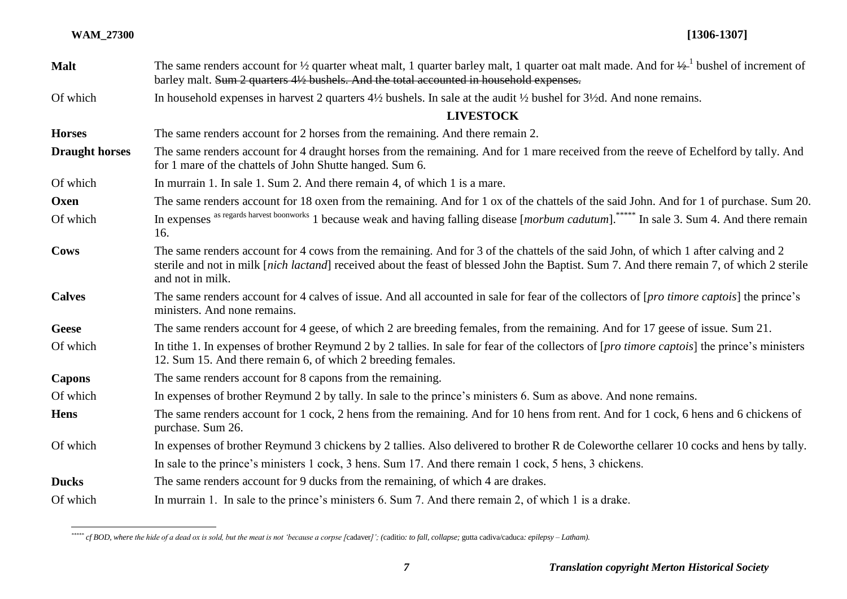| <b>Malt</b>           | The same renders account for $\frac{1}{2}$ quarter wheat malt, 1 quarter barley malt, 1 quarter oat malt made. And for $\frac{1}{2}$ bushel of increment of<br>barley malt. Sum 2 quarters 4½ bushels. And the total accounted in household expenses.                                                |
|-----------------------|------------------------------------------------------------------------------------------------------------------------------------------------------------------------------------------------------------------------------------------------------------------------------------------------------|
| Of which              | In household expenses in harvest 2 quarters $4\frac{1}{2}$ bushels. In sale at the audit $\frac{1}{2}$ bushel for $3\frac{1}{2}$ d. And none remains.                                                                                                                                                |
|                       | <b>LIVESTOCK</b>                                                                                                                                                                                                                                                                                     |
| <b>Horses</b>         | The same renders account for 2 horses from the remaining. And there remain 2.                                                                                                                                                                                                                        |
| <b>Draught horses</b> | The same renders account for 4 draught horses from the remaining. And for 1 mare received from the reeve of Echelford by tally. And<br>for 1 mare of the chattels of John Shutte hanged. Sum 6.                                                                                                      |
| Of which              | In murrain 1. In sale 1. Sum 2. And there remain 4, of which 1 is a mare.                                                                                                                                                                                                                            |
| Oxen                  | The same renders account for 18 oxen from the remaining. And for 1 ox of the chattels of the said John. And for 1 of purchase. Sum 20.                                                                                                                                                               |
| Of which              | In expenses as regards harvest boonworks 1 because weak and having falling disease [morbum cadutum]. <sup>*****</sup> In sale 3. Sum 4. And there remain<br>16.                                                                                                                                      |
| <b>Cows</b>           | The same renders account for 4 cows from the remaining. And for 3 of the chattels of the said John, of which 1 after calving and 2<br>sterile and not in milk [nich lactand] received about the feast of blessed John the Baptist. Sum 7. And there remain 7, of which 2 sterile<br>and not in milk. |
| <b>Calves</b>         | The same renders account for 4 calves of issue. And all accounted in sale for fear of the collectors of [pro timore captois] the prince's<br>ministers. And none remains.                                                                                                                            |
| <b>Geese</b>          | The same renders account for 4 geese, of which 2 are breeding females, from the remaining. And for 17 geese of issue. Sum 21.                                                                                                                                                                        |
| Of which              | In tithe 1. In expenses of brother Reymund 2 by 2 tallies. In sale for fear of the collectors of [pro timore captois] the prince's ministers<br>12. Sum 15. And there remain 6, of which 2 breeding females.                                                                                         |
| <b>Capons</b>         | The same renders account for 8 capons from the remaining.                                                                                                                                                                                                                                            |
| Of which              | In expenses of brother Reymund 2 by tally. In sale to the prince's ministers 6. Sum as above. And none remains.                                                                                                                                                                                      |
| <b>Hens</b>           | The same renders account for 1 cock, 2 hens from the remaining. And for 10 hens from rent. And for 1 cock, 6 hens and 6 chickens of<br>purchase. Sum 26.                                                                                                                                             |
| Of which              | In expenses of brother Reymund 3 chickens by 2 tallies. Also delivered to brother R de Coleworthe cellarer 10 cocks and hens by tally.                                                                                                                                                               |
|                       | In sale to the prince's ministers 1 cock, 3 hens. Sum 17. And there remain 1 cock, 5 hens, 3 chickens.                                                                                                                                                                                               |
| <b>Ducks</b>          | The same renders account for 9 ducks from the remaining, of which 4 are drakes.                                                                                                                                                                                                                      |
| Of which              | In murrain 1. In sale to the prince's ministers 6. Sum 7. And there remain 2, of which 1 is a drake.                                                                                                                                                                                                 |

*<sup>\*\*\*\*\*</sup> cf BOD, where the hide of a dead ox is sold, but the meat is not 'because a corpse [*cadaver*]'; (*caditio*: to fall, collapse;* gutta cadiva/caduca*: epilepsy – Latham).*